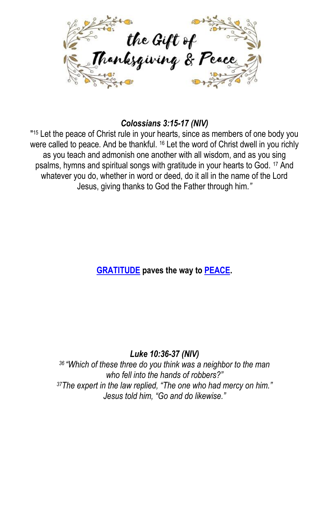

#### *Colossians 3:15-17 (NIV)*

" <sup>15</sup> Let the peace of Christ rule in your hearts, since as members of one body you were called to peace. And be thankful. <sup>16</sup> Let the word of Christ dwell in you richly as you teach and admonish one another with all wisdom, and as you sing psalms, hymns and spiritual songs with gratitude in your hearts to God. <sup>17</sup> And whatever you do, whether in word or deed, do it all in the name of the Lord Jesus, giving thanks to God the Father through him*."*

### **GRATITUDE paves the way to PEACE.**

#### *Luke 10:36-37 (NIV)*

*<sup>36</sup> "Which of these three do you think was a neighbor to the man who fell into the hands of robbers?" <sup>37</sup>The expert in the law replied, "The one who had mercy on him." Jesus told him, "Go and do likewise."*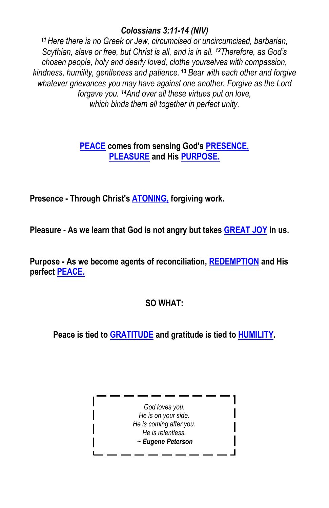#### *Colossians 3:11-14 (NIV)*

*<sup>11</sup>Here there is no Greek or Jew, circumcised or uncircumcised, barbarian, Scythian, slave or free, but Christ is all, and is in all. <sup>12</sup>Therefore, as God's chosen people, holy and dearly loved, clothe yourselves with compassion, kindness, humility, gentleness and patience. <sup>13</sup> Bear with each other and forgive whatever grievances you may have against one another. Forgive as the Lord forgave you. 14And over all these virtues put on love, which binds them all together in perfect unity.*

#### **PEACE comes from sensing God's PRESENCE, PLEASURE and His PURPOSE.**

**Presence - Through Christ's ATONING, forgiving work.**

**Pleasure - As we learn that God is not angry but takes GREAT JOY in us.**

**Purpose - As we become agents of reconciliation, REDEMPTION and His perfect PEACE.**

#### **SO WHAT:**

**Peace is tied to GRATITUDE and gratitude is tied to HUMILITY.**

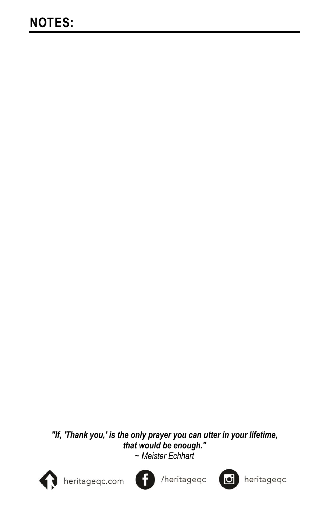# *"If, 'Thank you,' is the only prayer you can utter in your lifetime, that would be enough."*

*~ Meister Echhart*



heritageqc.com



/heritageqc



heritageqc